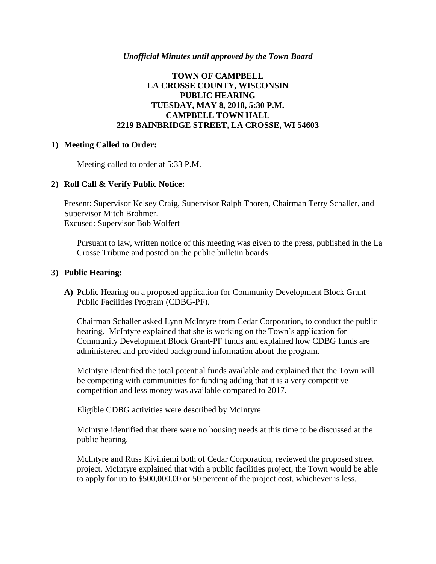## *Unofficial Minutes until approved by the Town Board*

# **TOWN OF CAMPBELL LA CROSSE COUNTY, WISCONSIN PUBLIC HEARING TUESDAY, MAY 8, 2018, 5:30 P.M. CAMPBELL TOWN HALL 2219 BAINBRIDGE STREET, LA CROSSE, WI 54603**

#### **1) Meeting Called to Order:**

Meeting called to order at 5:33 P.M.

## **2) Roll Call & Verify Public Notice:**

Present: Supervisor Kelsey Craig, Supervisor Ralph Thoren, Chairman Terry Schaller, and Supervisor Mitch Brohmer. Excused: Supervisor Bob Wolfert

Pursuant to law, written notice of this meeting was given to the press, published in the La Crosse Tribune and posted on the public bulletin boards.

#### **3) Public Hearing:**

**A)** Public Hearing on a proposed application for Community Development Block Grant – Public Facilities Program (CDBG-PF).

Chairman Schaller asked Lynn McIntyre from Cedar Corporation, to conduct the public hearing. McIntyre explained that she is working on the Town's application for Community Development Block Grant-PF funds and explained how CDBG funds are administered and provided background information about the program.

McIntyre identified the total potential funds available and explained that the Town will be competing with communities for funding adding that it is a very competitive competition and less money was available compared to 2017.

Eligible CDBG activities were described by McIntyre.

McIntyre identified that there were no housing needs at this time to be discussed at the public hearing.

McIntyre and Russ Kiviniemi both of Cedar Corporation, reviewed the proposed street project. McIntyre explained that with a public facilities project, the Town would be able to apply for up to \$500,000.00 or 50 percent of the project cost, whichever is less.